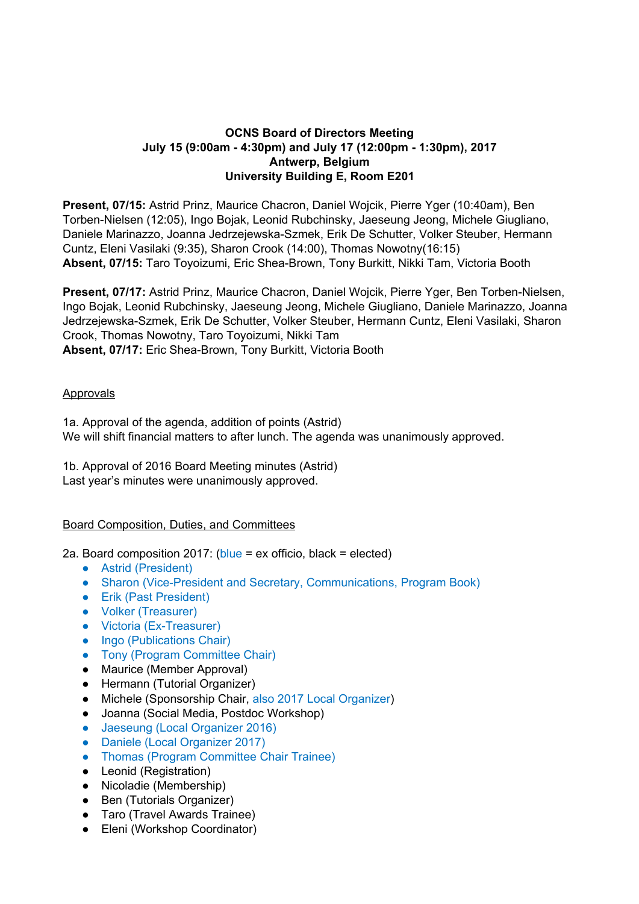## **OCNS Board of Directors Meeting July 15 (9:00am - 4:30pm) and July 17 (12:00pm - 1:30pm), 2017 Antwerp, Belgium University Building E, Room E201**

**Present, 07/15:** Astrid Prinz, Maurice Chacron, Daniel Wojcik, Pierre Yger (10:40am), Ben Torben-Nielsen (12:05), Ingo Bojak, Leonid Rubchinsky, Jaeseung Jeong, Michele Giugliano, Daniele Marinazzo, Joanna Jedrzejewska-Szmek, Erik De Schutter, Volker Steuber, Hermann Cuntz, Eleni Vasilaki (9:35), Sharon Crook (14:00), Thomas Nowotny(16:15) **Absent, 07/15:** Taro Toyoizumi, Eric Shea-Brown, Tony Burkitt, Nikki Tam, Victoria Booth

**Present, 07/17:** Astrid Prinz, Maurice Chacron, Daniel Wojcik, Pierre Yger, Ben Torben-Nielsen, Ingo Bojak, Leonid Rubchinsky, Jaeseung Jeong, Michele Giugliano, Daniele Marinazzo, Joanna Jedrzejewska-Szmek, Erik De Schutter, Volker Steuber, Hermann Cuntz, Eleni Vasilaki, Sharon Crook, Thomas Nowotny, Taro Toyoizumi, Nikki Tam **Absent, 07/17:** Eric Shea-Brown, Tony Burkitt, Victoria Booth

### **Approvals**

1a. Approval of the agenda, addition of points (Astrid) We will shift financial matters to after lunch. The agenda was unanimously approved.

1b. Approval of 2016 Board Meeting minutes (Astrid) Last year's minutes were unanimously approved.

#### Board Composition, Duties, and Committees

2a. Board composition 2017: ( $blue = ex$  officio, black = elected)

- Astrid (President)
- Sharon (Vice-President and Secretary, Communications, Program Book)
- Erik (Past President)
- Volker (Treasurer)
- Victoria (Ex-Treasurer)
- Ingo (Publications Chair)
- Tony (Program Committee Chair)
- Maurice (Member Approval)
- Hermann (Tutorial Organizer)
- Michele (Sponsorship Chair, also 2017 Local Organizer)
- Joanna (Social Media, Postdoc Workshop)
- Jaeseung (Local Organizer 2016)
- Daniele (Local Organizer 2017)
- Thomas (Program Committee Chair Trainee)
- Leonid (Registration)
- Nicoladie (Membership)
- Ben (Tutorials Organizer)
- Taro (Travel Awards Trainee)
- Eleni (Workshop Coordinator)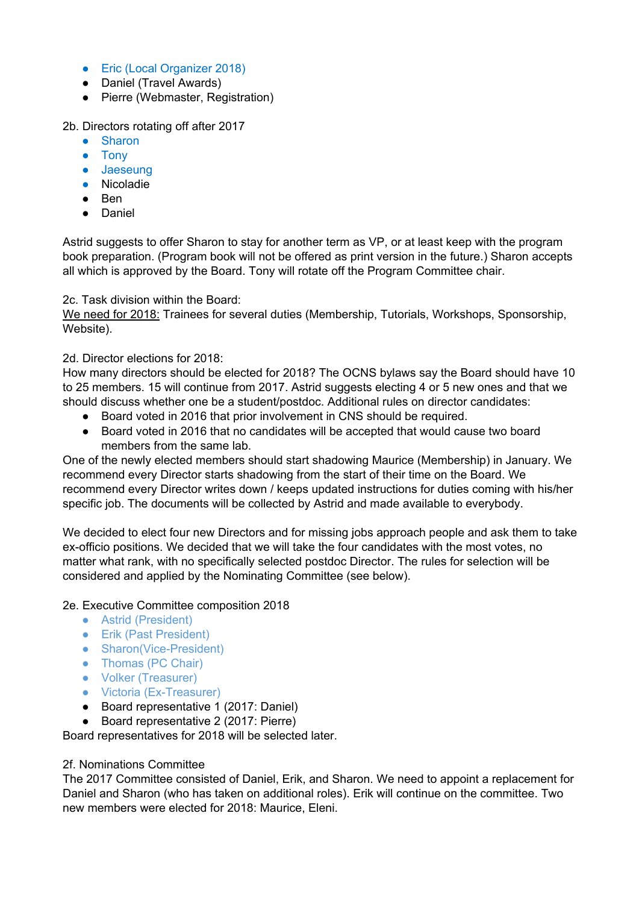- Eric (Local Organizer 2018)
- Daniel (Travel Awards)
- Pierre (Webmaster, Registration)

## 2b. Directors rotating off after 2017

- Sharon
- Tony
- Jaeseung
- Nicoladie
- Ben
- Daniel

Astrid suggests to offer Sharon to stay for another term as VP, or at least keep with the program book preparation. (Program book will not be offered as print version in the future.) Sharon accepts all which is approved by the Board. Tony will rotate off the Program Committee chair.

## 2c. Task division within the Board:

We need for 2018: Trainees for several duties (Membership, Tutorials, Workshops, Sponsorship, Website).

# 2d. Director elections for 2018:

How many directors should be elected for 2018? The OCNS bylaws say the Board should have 10 to 25 members. 15 will continue from 2017. Astrid suggests electing 4 or 5 new ones and that we should discuss whether one be a student/postdoc. Additional rules on director candidates:

- Board voted in 2016 that prior involvement in CNS should be required.
- Board voted in 2016 that no candidates will be accepted that would cause two board members from the same lab.

One of the newly elected members should start shadowing Maurice (Membership) in January. We recommend every Director starts shadowing from the start of their time on the Board. We recommend every Director writes down / keeps updated instructions for duties coming with his/her specific job. The documents will be collected by Astrid and made available to everybody.

We decided to elect four new Directors and for missing jobs approach people and ask them to take ex-officio positions. We decided that we will take the four candidates with the most votes, no matter what rank, with no specifically selected postdoc Director. The rules for selection will be considered and applied by the Nominating Committee (see below).

## 2e. Executive Committee composition 2018

- Astrid (President)
- Erik (Past President)
- Sharon(Vice-President)
- Thomas (PC Chair)
- Volker (Treasurer)
- Victoria (Ex-Treasurer)
- Board representative 1 (2017: Daniel)
- Board representative 2 (2017: Pierre)

Board representatives for 2018 will be selected later.

## 2f. Nominations Committee

The 2017 Committee consisted of Daniel, Erik, and Sharon. We need to appoint a replacement for Daniel and Sharon (who has taken on additional roles). Erik will continue on the committee. Two new members were elected for 2018: Maurice, Eleni.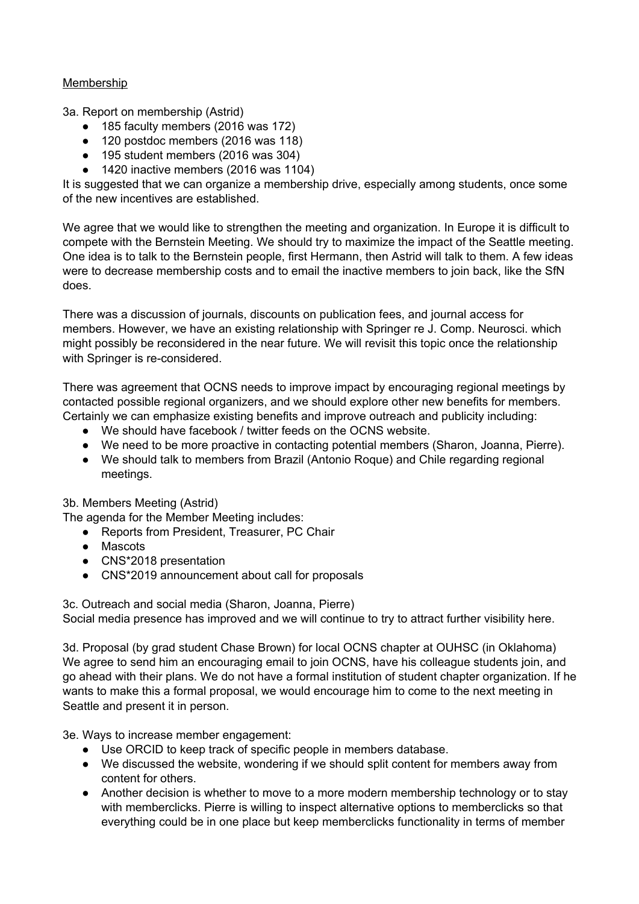# Membership

3a. Report on membership (Astrid)

- 185 faculty members (2016 was 172)
- 120 postdoc members (2016 was 118)
- 195 student members (2016 was 304)
- 1420 inactive members (2016 was 1104)

It is suggested that we can organize a membership drive, especially among students, once some of the new incentives are established.

We agree that we would like to strengthen the meeting and organization. In Europe it is difficult to compete with the Bernstein Meeting. We should try to maximize the impact of the Seattle meeting. One idea is to talk to the Bernstein people, first Hermann, then Astrid will talk to them. A few ideas were to decrease membership costs and to email the inactive members to join back, like the SfN does.

There was a discussion of journals, discounts on publication fees, and journal access for members. However, we have an existing relationship with Springer re J. Comp. Neurosci. which might possibly be reconsidered in the near future. We will revisit this topic once the relationship with Springer is re-considered.

There was agreement that OCNS needs to improve impact by encouraging regional meetings by contacted possible regional organizers, and we should explore other new benefits for members. Certainly we can emphasize existing benefits and improve outreach and publicity including:

- We should have facebook / twitter feeds on the OCNS website.
- We need to be more proactive in contacting potential members (Sharon, Joanna, Pierre).
- We should talk to members from Brazil (Antonio Roque) and Chile regarding regional meetings.

## 3b. Members Meeting (Astrid)

The agenda for the Member Meeting includes:

- Reports from President, Treasurer, PC Chair
- Mascots
- CNS\*2018 presentation
- CNS\*2019 announcement about call for proposals

3c. Outreach and social media (Sharon, Joanna, Pierre) Social media presence has improved and we will continue to try to attract further visibility here.

3d. Proposal (by grad student Chase Brown) for local OCNS chapter at OUHSC (in Oklahoma) We agree to send him an encouraging email to join OCNS, have his colleague students join, and go ahead with their plans. We do not have a formal institution of student chapter organization. If he wants to make this a formal proposal, we would encourage him to come to the next meeting in Seattle and present it in person.

3e. Ways to increase member engagement:

- Use ORCID to keep track of specific people in members database.
- We discussed the website, wondering if we should split content for members away from content for others.
- Another decision is whether to move to a more modern membership technology or to stay with memberclicks. Pierre is willing to inspect alternative options to memberclicks so that everything could be in one place but keep memberclicks functionality in terms of member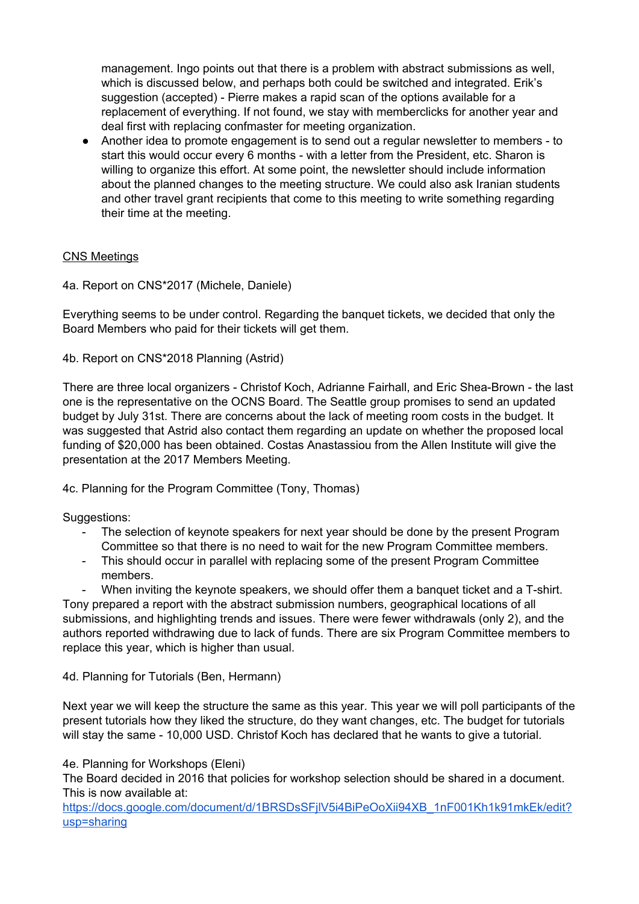management. Ingo points out that there is a problem with abstract submissions as well, which is discussed below, and perhaps both could be switched and integrated. Erik's suggestion (accepted) - Pierre makes a rapid scan of the options available for a replacement of everything. If not found, we stay with memberclicks for another year and deal first with replacing confmaster for meeting organization.

● Another idea to promote engagement is to send out a regular newsletter to members - to start this would occur every 6 months - with a letter from the President, etc. Sharon is willing to organize this effort. At some point, the newsletter should include information about the planned changes to the meeting structure. We could also ask Iranian students and other travel grant recipients that come to this meeting to write something regarding their time at the meeting.

# CNS Meetings

4a. Report on CNS\*2017 (Michele, Daniele)

Everything seems to be under control. Regarding the banquet tickets, we decided that only the Board Members who paid for their tickets will get them.

4b. Report on CNS\*2018 Planning (Astrid)

There are three local organizers - Christof Koch, Adrianne Fairhall, and Eric Shea-Brown - the last one is the representative on the OCNS Board. The Seattle group promises to send an updated budget by July 31st. There are concerns about the lack of meeting room costs in the budget. It was suggested that Astrid also contact them regarding an update on whether the proposed local funding of \$20,000 has been obtained. Costas Anastassiou from the Allen Institute will give the presentation at the 2017 Members Meeting.

4c. Planning for the Program Committee (Tony, Thomas)

Suggestions:

- The selection of keynote speakers for next year should be done by the present Program Committee so that there is no need to wait for the new Program Committee members.
- This should occur in parallel with replacing some of the present Program Committee members.

When inviting the keynote speakers, we should offer them a banquet ticket and a T-shirt. Tony prepared a report with the abstract submission numbers, geographical locations of all

submissions, and highlighting trends and issues. There were fewer withdrawals (only 2), and the authors reported withdrawing due to lack of funds. There are six Program Committee members to replace this year, which is higher than usual.

## 4d. Planning for Tutorials (Ben, Hermann)

Next year we will keep the structure the same as this year. This year we will poll participants of the present tutorials how they liked the structure, do they want changes, etc. The budget for tutorials will stay the same - 10,000 USD. Christof Koch has declared that he wants to give a tutorial.

4e. Planning for Workshops (Eleni)

The Board decided in 2016 that policies for workshop selection should be shared in a document. This is now available at:

https://docs.google.com/document/d/1BRSDsSFilV5i4BiPeOoXii94XB\_1nF001Kh1k91mkEk/edit? [usp=sharing](https://docs.google.com/document/d/1BRSDsSFjlV5i4BiPeOoXii94XB_1nF001Kh1k91mkEk/edit?usp=sharing)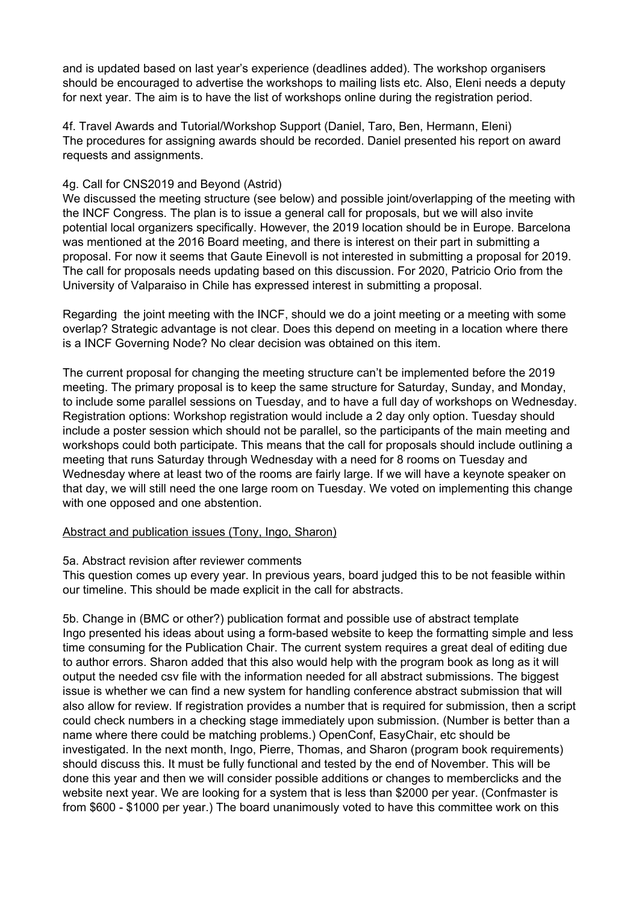and is updated based on last year's experience (deadlines added). The workshop organisers should be encouraged to advertise the workshops to mailing lists etc. Also, Eleni needs a deputy for next year. The aim is to have the list of workshops online during the registration period.

4f. Travel Awards and Tutorial/Workshop Support (Daniel, Taro, Ben, Hermann, Eleni) The procedures for assigning awards should be recorded. Daniel presented his report on award requests and assignments.

# 4g. Call for CNS2019 and Beyond (Astrid)

We discussed the meeting structure (see below) and possible joint/overlapping of the meeting with the INCF Congress. The plan is to issue a general call for proposals, but we will also invite potential local organizers specifically. However, the 2019 location should be in Europe. Barcelona was mentioned at the 2016 Board meeting, and there is interest on their part in submitting a proposal. For now it seems that Gaute Einevoll is not interested in submitting a proposal for 2019. The call for proposals needs updating based on this discussion. For 2020, Patricio Orio from the University of Valparaiso in Chile has expressed interest in submitting a proposal.

Regarding the joint meeting with the INCF, should we do a joint meeting or a meeting with some overlap? Strategic advantage is not clear. Does this depend on meeting in a location where there is a INCF Governing Node? No clear decision was obtained on this item.

The current proposal for changing the meeting structure can't be implemented before the 2019 meeting. The primary proposal is to keep the same structure for Saturday, Sunday, and Monday, to include some parallel sessions on Tuesday, and to have a full day of workshops on Wednesday. Registration options: Workshop registration would include a 2 day only option. Tuesday should include a poster session which should not be parallel, so the participants of the main meeting and workshops could both participate. This means that the call for proposals should include outlining a meeting that runs Saturday through Wednesday with a need for 8 rooms on Tuesday and Wednesday where at least two of the rooms are fairly large. If we will have a keynote speaker on that day, we will still need the one large room on Tuesday. We voted on implementing this change with one opposed and one abstention.

## Abstract and publication issues (Tony, Ingo, Sharon)

5a. Abstract revision after reviewer comments

This question comes up every year. In previous years, board judged this to be not feasible within our timeline. This should be made explicit in the call for abstracts.

5b. Change in (BMC or other?) publication format and possible use of abstract template Ingo presented his ideas about using a form-based website to keep the formatting simple and less time consuming for the Publication Chair. The current system requires a great deal of editing due to author errors. Sharon added that this also would help with the program book as long as it will output the needed csv file with the information needed for all abstract submissions. The biggest issue is whether we can find a new system for handling conference abstract submission that will also allow for review. If registration provides a number that is required for submission, then a script could check numbers in a checking stage immediately upon submission. (Number is better than a name where there could be matching problems.) OpenConf, EasyChair, etc should be investigated. In the next month, Ingo, Pierre, Thomas, and Sharon (program book requirements) should discuss this. It must be fully functional and tested by the end of November. This will be done this year and then we will consider possible additions or changes to memberclicks and the website next year. We are looking for a system that is less than \$2000 per year. (Confmaster is from \$600 - \$1000 per year.) The board unanimously voted to have this committee work on this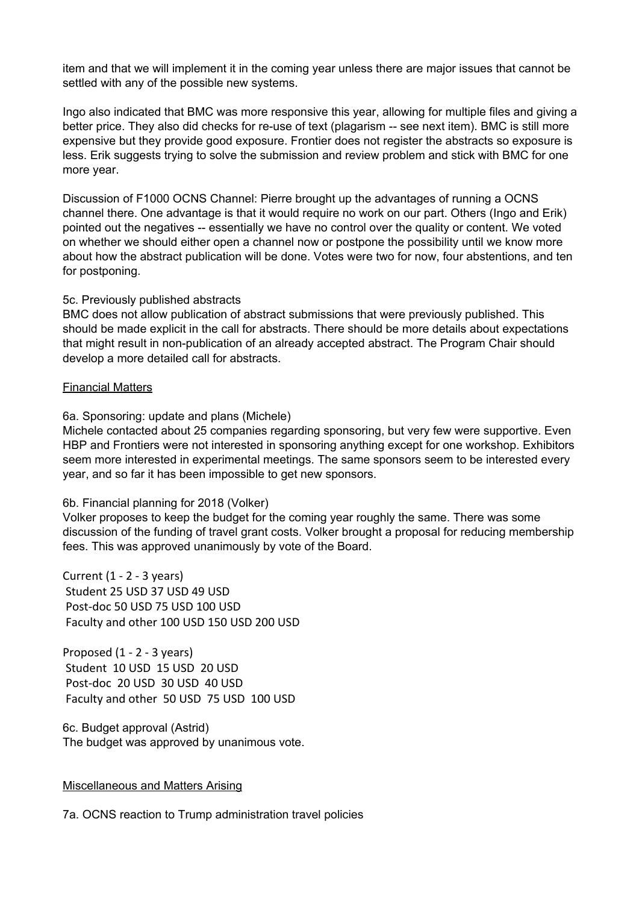item and that we will implement it in the coming year unless there are major issues that cannot be settled with any of the possible new systems.

Ingo also indicated that BMC was more responsive this year, allowing for multiple files and giving a better price. They also did checks for re-use of text (plagarism -- see next item). BMC is still more expensive but they provide good exposure. Frontier does not register the abstracts so exposure is less. Erik suggests trying to solve the submission and review problem and stick with BMC for one more year.

Discussion of F1000 OCNS Channel: Pierre brought up the advantages of running a OCNS channel there. One advantage is that it would require no work on our part. Others (Ingo and Erik) pointed out the negatives -- essentially we have no control over the quality or content. We voted on whether we should either open a channel now or postpone the possibility until we know more about how the abstract publication will be done. Votes were two for now, four abstentions, and ten for postponing.

#### 5c. Previously published abstracts

BMC does not allow publication of abstract submissions that were previously published. This should be made explicit in the call for abstracts. There should be more details about expectations that might result in non-publication of an already accepted abstract. The Program Chair should develop a more detailed call for abstracts.

### Financial Matters

### 6a. Sponsoring: update and plans (Michele)

Michele contacted about 25 companies regarding sponsoring, but very few were supportive. Even HBP and Frontiers were not interested in sponsoring anything except for one workshop. Exhibitors seem more interested in experimental meetings. The same sponsors seem to be interested every year, and so far it has been impossible to get new sponsors.

## 6b. Financial planning for 2018 (Volker)

Volker proposes to keep the budget for the coming year roughly the same. There was some discussion of the funding of travel grant costs. Volker brought a proposal for reducing membership fees. This was approved unanimously by vote of the Board.

Current (1 - 2 - 3 years) Student 25 USD 37 USD 49 USD Post-doc 50 USD 75 USD 100 USD Faculty and other 100 USD 150 USD 200 USD

Proposed (1 - 2 - 3 years) Student 10 USD 15 USD 20 USD Post-doc 20 USD 30 USD 40 USD Faculty and other 50 USD 75 USD 100 USD

6c. Budget approval (Astrid) The budget was approved by unanimous vote.

## Miscellaneous and Matters Arising

7a. OCNS reaction to Trump administration travel policies